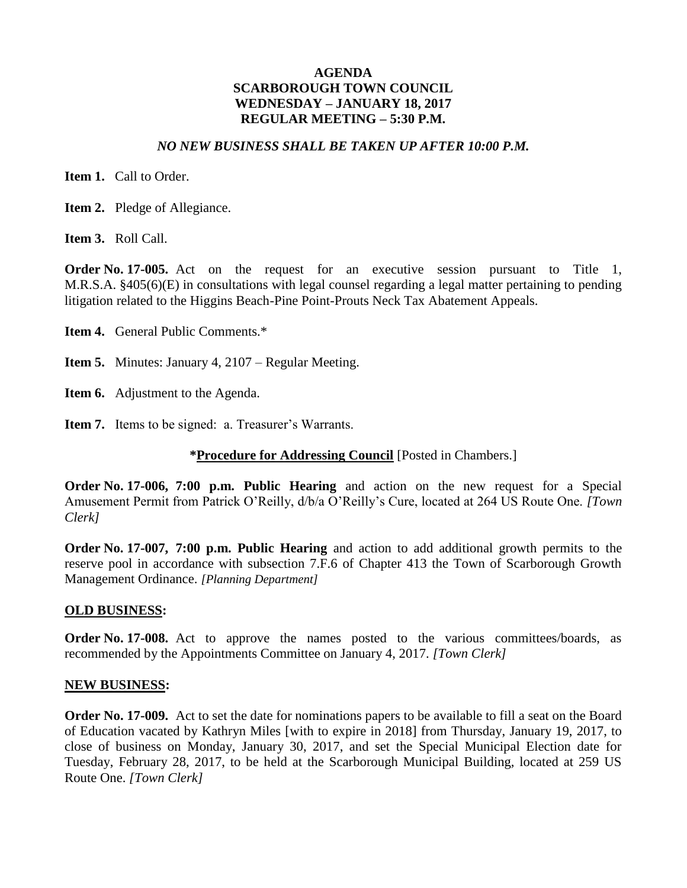#### *NO NEW BUSINESS SHALL BE TAKEN UP AFTER 10:00 P.M.*

**Item 1.** Call to Order.

**Item 2.** Pledge of Allegiance.

**Item 3.** Roll Call.

**Order No. 17-005.** Act on the request for an executive session pursuant to Title 1, M.R.S.A. §405(6)(E) in consultations with legal counsel regarding a legal matter pertaining to pending litigation related to the Higgins Beach-Pine Point-Prouts Neck Tax Abatement Appeals.

- **Item 4.** General Public Comments.\*
- **Item 5.** Minutes: January 4, 2107 Regular Meeting.
- **Item 6.** Adjustment to the Agenda.
- **Item 7.** Items to be signed: a. Treasurer's Warrants.

#### **\*Procedure for Addressing Council** [Posted in Chambers.]

**Order No. 17-006, 7:00 p.m. Public Hearing** and action on the new request for a Special Amusement Permit from Patrick O'Reilly, d/b/a O'Reilly's Cure, located at 264 US Route One. *[Town Clerk]*

**Order No. 17-007, 7:00 p.m. Public Hearing** and action to add additional growth permits to the reserve pool in accordance with subsection 7.F.6 of Chapter 413 the Town of Scarborough Growth Management Ordinance. *[Planning Department]*

#### **OLD BUSINESS:**

**Order No. 17-008.** Act to approve the names posted to the various committees/boards, as recommended by the Appointments Committee on January 4, 2017. *[Town Clerk]*

#### **NEW BUSINESS:**

**Order No. 17-009.** Act to set the date for nominations papers to be available to fill a seat on the Board of Education vacated by Kathryn Miles [with to expire in 2018] from Thursday, January 19, 2017, to close of business on Monday, January 30, 2017, and set the Special Municipal Election date for Tuesday, February 28, 2017, to be held at the Scarborough Municipal Building, located at 259 US Route One. *[Town Clerk]*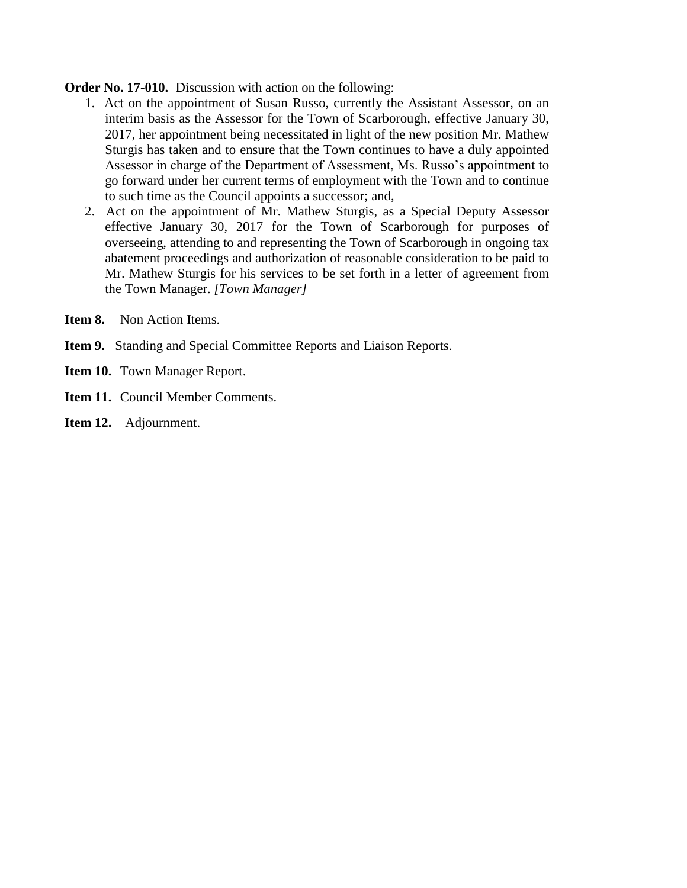**Order No. 17-010.** Discussion with action on the following:

- 1. Act on the appointment of Susan Russo, currently the Assistant Assessor, on an interim basis as the Assessor for the Town of Scarborough, effective January 30, 2017, her appointment being necessitated in light of the new position Mr. Mathew Sturgis has taken and to ensure that the Town continues to have a duly appointed Assessor in charge of the Department of Assessment, Ms. Russo's appointment to go forward under her current terms of employment with the Town and to continue to such time as the Council appoints a successor; and,
- 2. Act on the appointment of Mr. Mathew Sturgis, as a Special Deputy Assessor effective January 30, 2017 for the Town of Scarborough for purposes of overseeing, attending to and representing the Town of Scarborough in ongoing tax abatement proceedings and authorization of reasonable consideration to be paid to Mr. Mathew Sturgis for his services to be set forth in a letter of agreement from the Town Manager. *[Town Manager]*
- **Item 8.** Non Action Items.
- **Item 9.** Standing and Special Committee Reports and Liaison Reports.
- **Item 10.** Town Manager Report.
- **Item 11.** Council Member Comments.
- **Item 12.** Adjournment.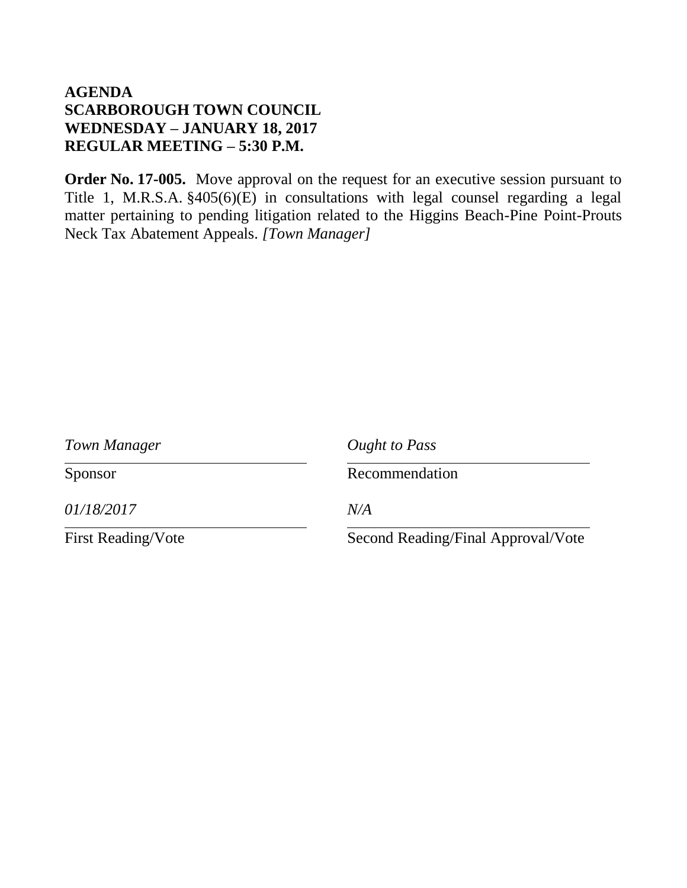**Order No. 17-005.** Move approval on the request for an executive session pursuant to Title 1, M.R.S.A. §405(6)(E) in consultations with legal counsel regarding a legal matter pertaining to pending litigation related to the Higgins Beach-Pine Point-Prouts Neck Tax Abatement Appeals. *[Town Manager]*

| Town Manager              | Ought to Pass                      |
|---------------------------|------------------------------------|
| Sponsor                   | Recommendation                     |
| 01/18/2017                | N/A                                |
| <b>First Reading/Vote</b> | Second Reading/Final Approval/Vote |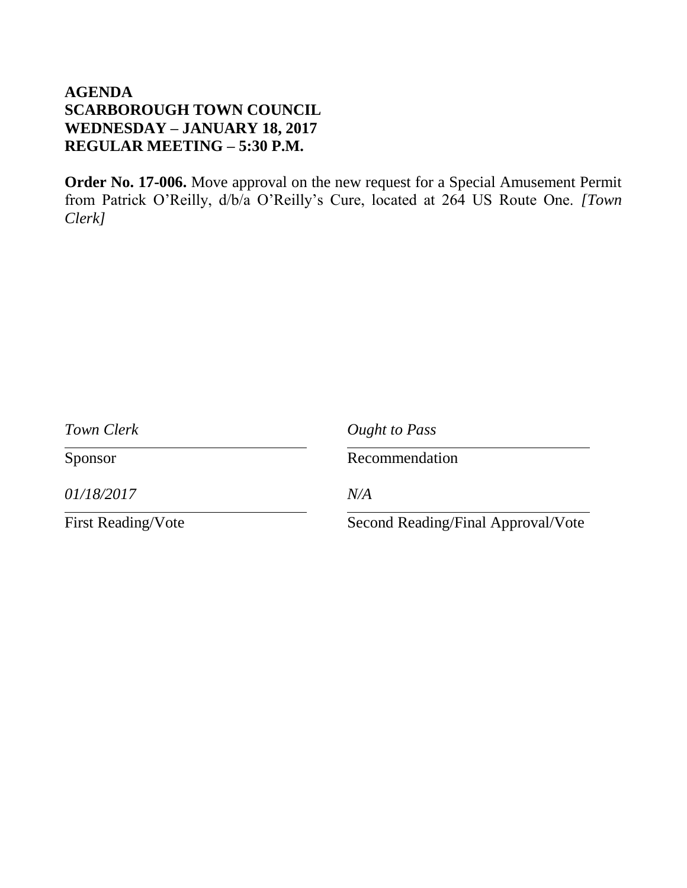**Order No. 17-006.** Move approval on the new request for a Special Amusement Permit from Patrick O'Reilly, d/b/a O'Reilly's Cure, located at 264 US Route One. *[Town Clerk]*

| Town Clerk                | Ought to Pass                      |
|---------------------------|------------------------------------|
| Sponsor                   | Recommendation                     |
| 01/18/2017                | N/A                                |
| <b>First Reading/Vote</b> | Second Reading/Final Approval/Vote |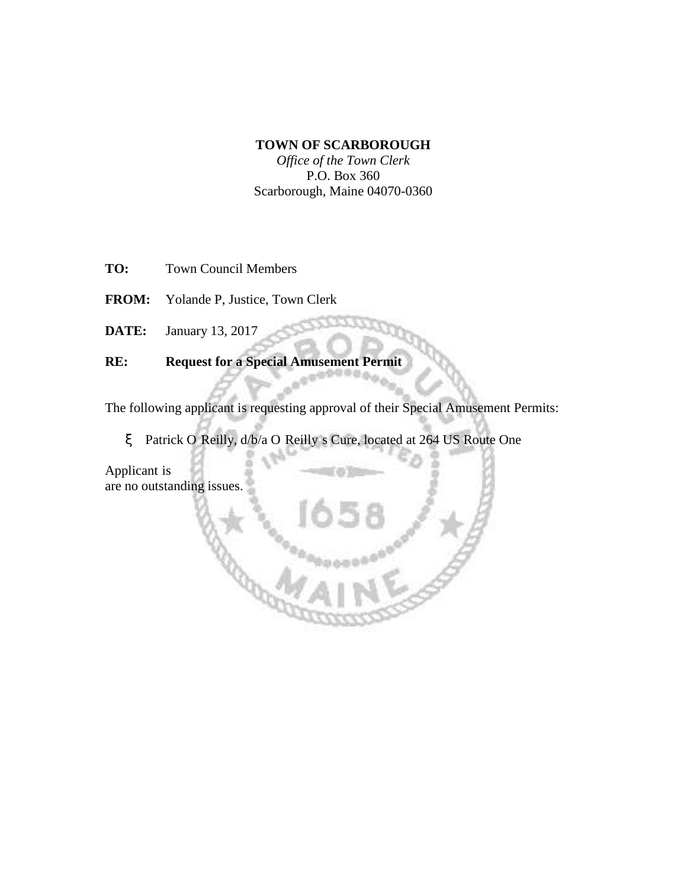#### **TOWN OF SCARBOROUGH**

*Office of the Town Clerk* P.O. Box 360 Scarborough, Maine 04070-0360

- **TO:** Town Council Members
- **FROM:** Yolande P, Justice, Town Clerk
- **DATE:** January 13, 2017

### **RE: Request for a Special Amusement Permit**

The following applicant is requesting approval of their Special Amusement Permits:

x Patrick O'Reilly, d/b/a O'Reilly's Cure, located at 264 US Route One

Applicant is in compliance with the requirements of the Town Clerk's Office and there are no outstanding issues.

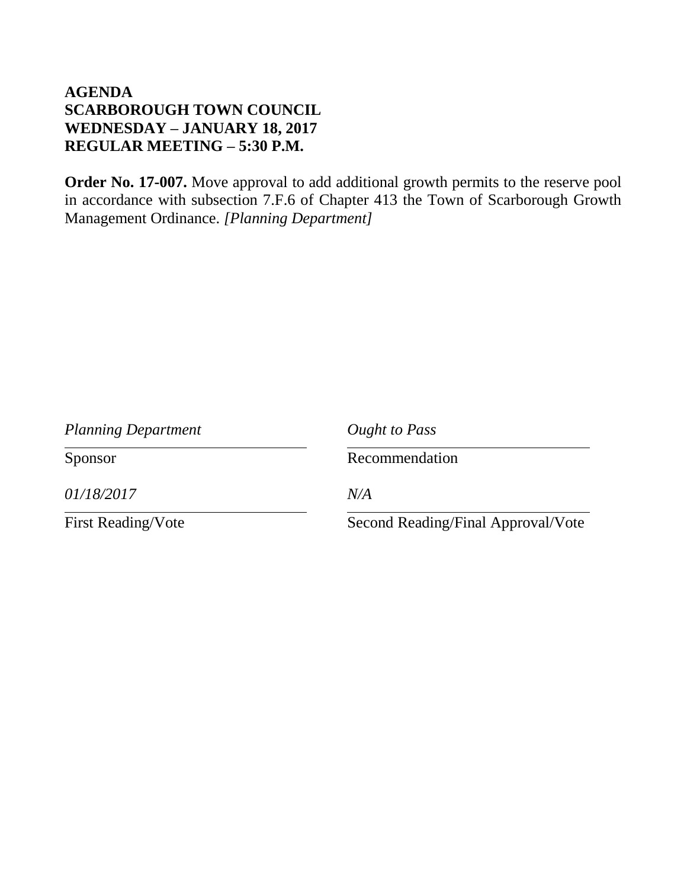**Order No. 17-007.** Move approval to add additional growth permits to the reserve pool in accordance with subsection 7.F.6 of Chapter 413 the Town of Scarborough Growth Management Ordinance. *[Planning Department]*

| <b>Planning Department</b> | Ought to Pass                      |
|----------------------------|------------------------------------|
| Sponsor                    | Recommendation                     |
| 01/18/2017                 | N/A                                |
| <b>First Reading/Vote</b>  | Second Reading/Final Approval/Vote |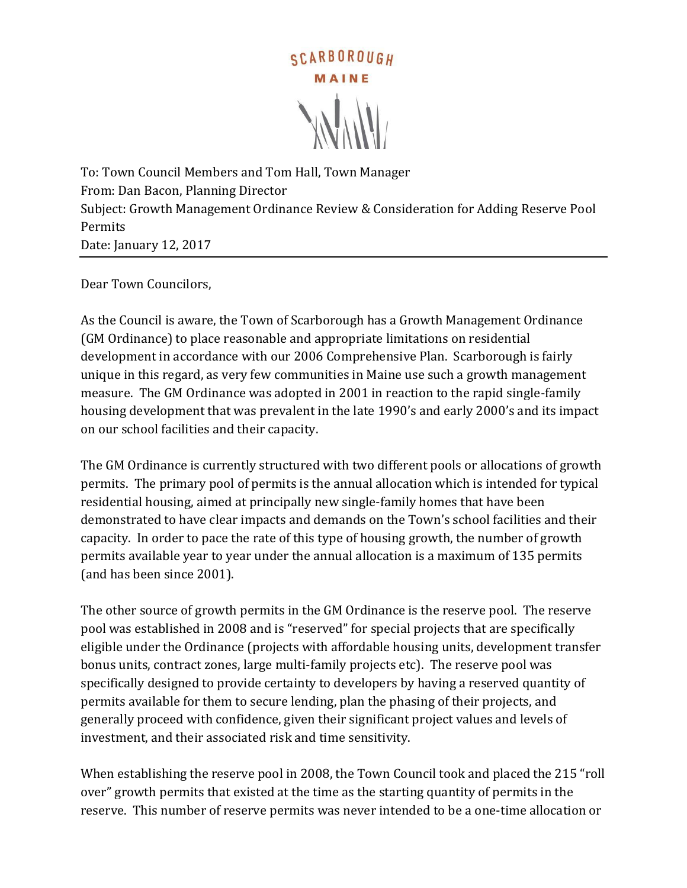

To: Town Council Members and Tom Hall, Town Manager From: Dan Bacon, Planning Director Subject: Growth Management Ordinance Review & Consideration for Adding Reserve Pool Permits Date: January 12, 2017

Dear Town Councilors,

As the Council is aware, the Town of Scarborough has a Growth Management Ordinance (GM Ordinance) to place reasonable and appropriate limitations on residential development in accordance with our 2006 Comprehensive Plan. Scarborough is fairly unique in this regard, as very few communities in Maine use such a growth management measure. The GM Ordinance was adopted in 2001 in reaction to the rapid single-family housing development that was prevalent in the late 1990's and early 2000's and its impact on our school facilities and their capacity.

The GM Ordinance is currently structured with two different pools or allocations of growth permits. The primary pool of permits is the annual allocation which is intended for typical residential housing, aimed at principally new single-family homes that have been demonstrated to have clear impacts and demands on the Town's school facilities and their capacity. In order to pace the rate of this type of housing growth, the number of growth permits available year to year under the annual allocation is a maximum of 135 permits (and has been since 2001).

The other source of growth permits in the GM Ordinance is the reserve pool. The reserve pool was established in 2008 and is "reserved" for special projects that are specifically eligible under the Ordinance (projects with affordable housing units, development transfer bonus units, contract zones, large multi-family projects etc). The reserve pool was specifically designed to provide certainty to developers by having a reserved quantity of permits available for them to secure lending, plan the phasing of their projects, and generally proceed with confidence, given their significant project values and levels of investment, and their associated risk and time sensitivity.

When establishing the reserve pool in 2008, the Town Council took and placed the 215 "roll over" growth permits that existed at the time as the starting quantity of permits in the reserve. This number of reserve permits was never intended to be a one-time allocation or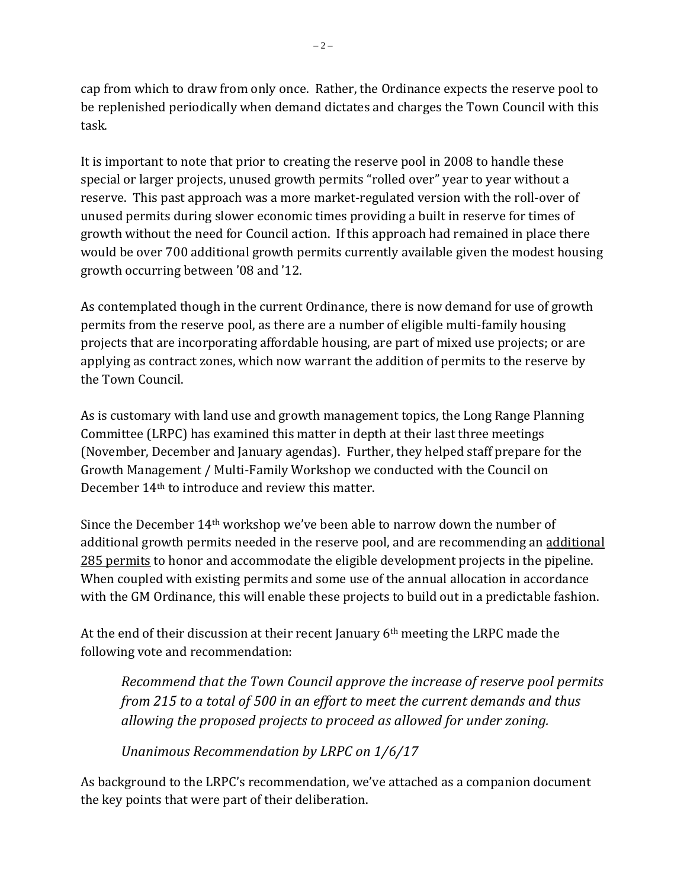cap from which to draw from only once. Rather, the Ordinance expects the reserve pool to be replenished periodically when demand dictates and charges the Town Council with this task.

It is important to note that prior to creating the reserve pool in 2008 to handle these special or larger projects, unused growth permits "rolled over" year to year without a reserve. This past approach was a more market-regulated version with the roll-over of unused permits during slower economic times providing a built in reserve for times of growth without the need for Council action. If this approach had remained in place there would be over 700 additional growth permits currently available given the modest housing growth occurring between '08 and '12.

As contemplated though in the current Ordinance, there is now demand for use of growth permits from the reserve pool, as there are a number of eligible multi-family housing projects that are incorporating affordable housing, are part of mixed use projects; or are applying as contract zones, which now warrant the addition of permits to the reserve by the Town Council.

As is customary with land use and growth management topics, the Long Range Planning Committee (LRPC) has examined this matter in depth at their last three meetings (November, December and January agendas). Further, they helped staff prepare for the Growth Management / Multi-Family Workshop we conducted with the Council on December 14th to introduce and review this matter.

Since the December 14th workshop we've been able to narrow down the number of additional growth permits needed in the reserve pool, and are recommending an additional 285 permits to honor and accommodate the eligible development projects in the pipeline. When coupled with existing permits and some use of the annual allocation in accordance with the GM Ordinance, this will enable these projects to build out in a predictable fashion.

At the end of their discussion at their recent January 6th meeting the LRPC made the following vote and recommendation:

*Recommend that the Town Council approve the increase of reserve pool permits from 215 to a total of 500 in an effort to meet the current demands and thus allowing the proposed projects to proceed as allowed for under zoning.*

*Unanimous Recommendation by LRPC on 1/6/17*

As background to the LRPC's recommendation, we've attached as a companion document the key points that were part of their deliberation.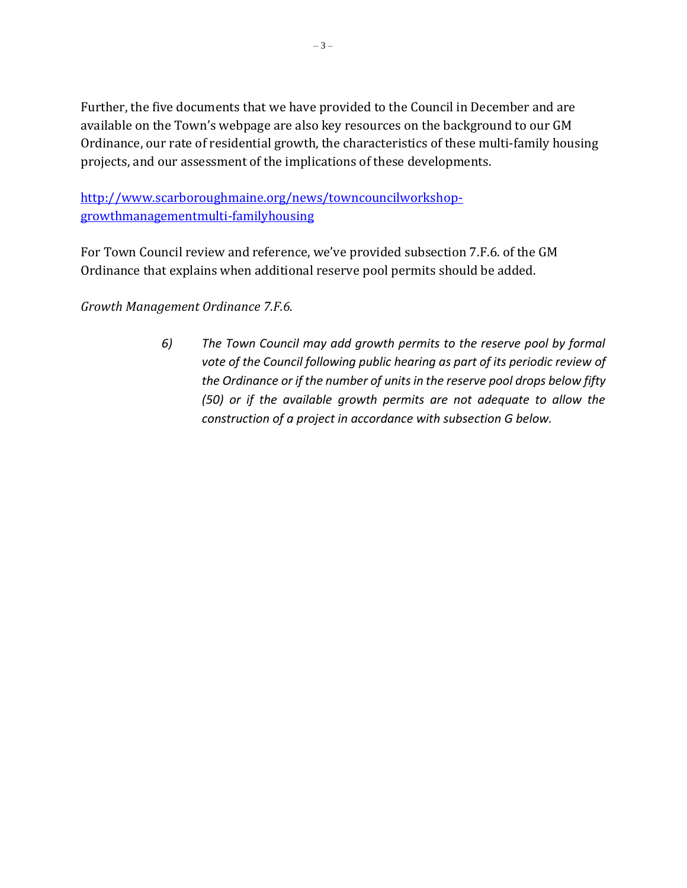Further, the five documents that we have provided to the Council in December and are available on the Town's webpage are also key resources on the background to our GM Ordinance, our rate of residential growth, the characteristics of these multi-family housing projects, and our assessment of the implications of these developments.

[http://www.scarboroughmaine.org/news/towncouncilworkshop](http://www.scarboroughmaine.org/news/towncouncilworkshop-growthmanagementmulti-familyhousing)[growthmanagementmulti-familyhousing](http://www.scarboroughmaine.org/news/towncouncilworkshop-growthmanagementmulti-familyhousing)

For Town Council review and reference, we've provided subsection 7.F.6. of the GM Ordinance that explains when additional reserve pool permits should be added.

*Growth Management Ordinance 7.F.6.*

*6) The Town Council may add growth permits to the reserve pool by formal vote of the Council following public hearing as part of its periodic review of the Ordinance or if the number of units in the reserve pool drops below fifty (50) or if the available growth permits are not adequate to allow the construction of a project in accordance with subsection G below.*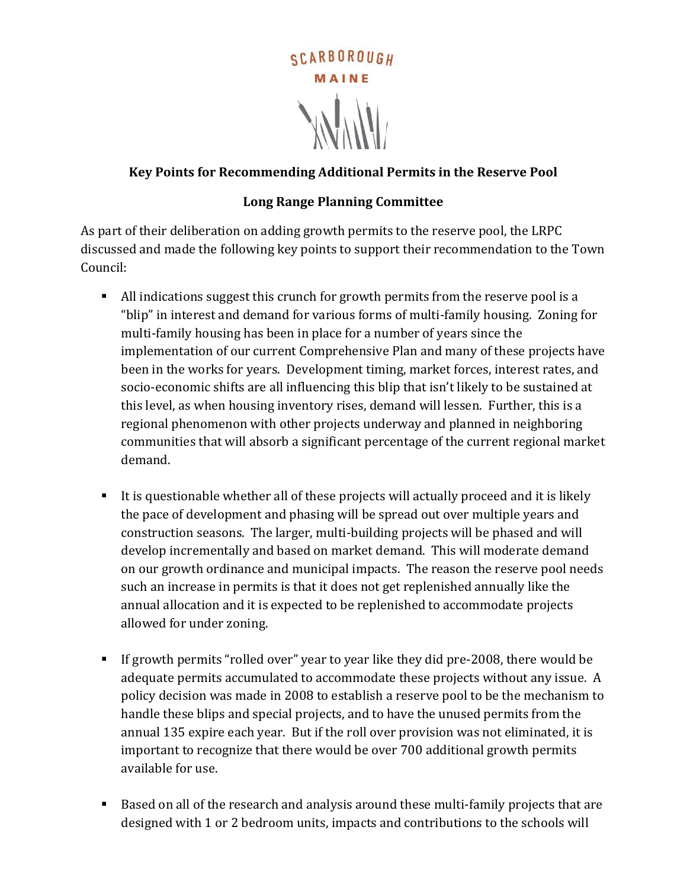

### **Key Points for Recommending Additional Permits in the Reserve Pool**

### **Long Range Planning Committee**

As part of their deliberation on adding growth permits to the reserve pool, the LRPC discussed and made the following key points to support their recommendation to the Town Council:

- All indications suggest this crunch for growth permits from the reserve pool is a "blip" in interest and demand for various forms of multi-family housing. Zoning for multi-family housing has been in place for a number of years since the implementation of our current Comprehensive Plan and many of these projects have been in the works for years. Development timing, market forces, interest rates, and socio-economic shifts are all influencing this blip that isn't likely to be sustained at this level, as when housing inventory rises, demand will lessen. Further, this is a regional phenomenon with other projects underway and planned in neighboring communities that will absorb a significant percentage of the current regional market demand.
- It is questionable whether all of these projects will actually proceed and it is likely the pace of development and phasing will be spread out over multiple years and construction seasons. The larger, multi-building projects will be phased and will develop incrementally and based on market demand. This will moderate demand on our growth ordinance and municipal impacts. The reason the reserve pool needs such an increase in permits is that it does not get replenished annually like the annual allocation and it is expected to be replenished to accommodate projects allowed for under zoning.
- If growth permits "rolled over" year to year like they did pre-2008, there would be adequate permits accumulated to accommodate these projects without any issue. A policy decision was made in 2008 to establish a reserve pool to be the mechanism to handle these blips and special projects, and to have the unused permits from the annual 135 expire each year. But if the roll over provision was not eliminated, it is important to recognize that there would be over 700 additional growth permits available for use.
- Based on all of the research and analysis around these multi-family projects that are designed with 1 or 2 bedroom units, impacts and contributions to the schools will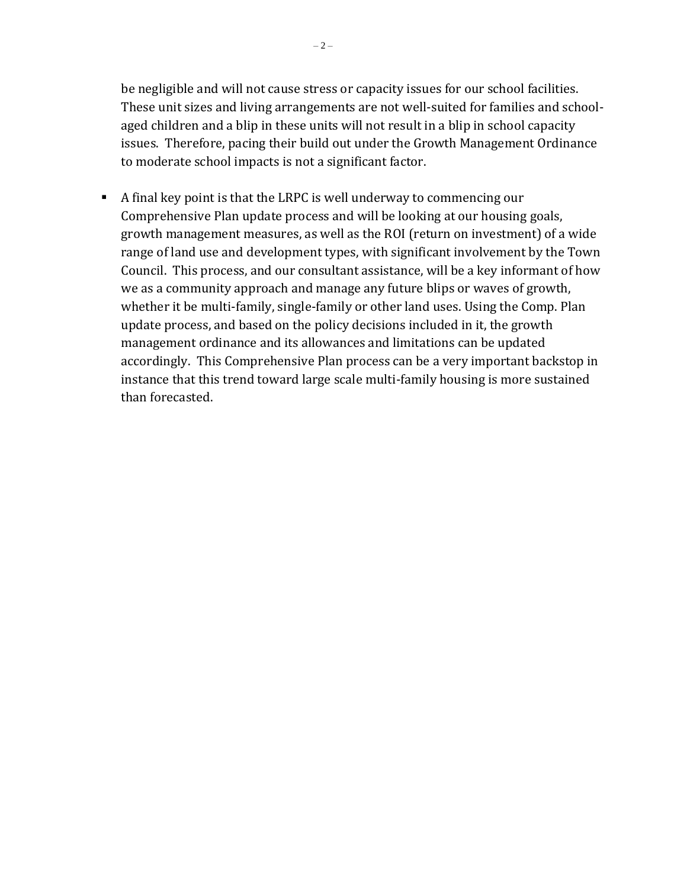be negligible and will not cause stress or capacity issues for our school facilities. These unit sizes and living arrangements are not well-suited for families and schoolaged children and a blip in these units will not result in a blip in school capacity issues. Therefore, pacing their build out under the Growth Management Ordinance to moderate school impacts is not a significant factor.

 A final key point is that the LRPC is well underway to commencing our Comprehensive Plan update process and will be looking at our housing goals, growth management measures, as well as the ROI (return on investment) of a wide range of land use and development types, with significant involvement by the Town Council. This process, and our consultant assistance, will be a key informant of how we as a community approach and manage any future blips or waves of growth, whether it be multi-family, single-family or other land uses. Using the Comp. Plan update process, and based on the policy decisions included in it, the growth management ordinance and its allowances and limitations can be updated accordingly. This Comprehensive Plan process can be a very important backstop in instance that this trend toward large scale multi-family housing is more sustained than forecasted.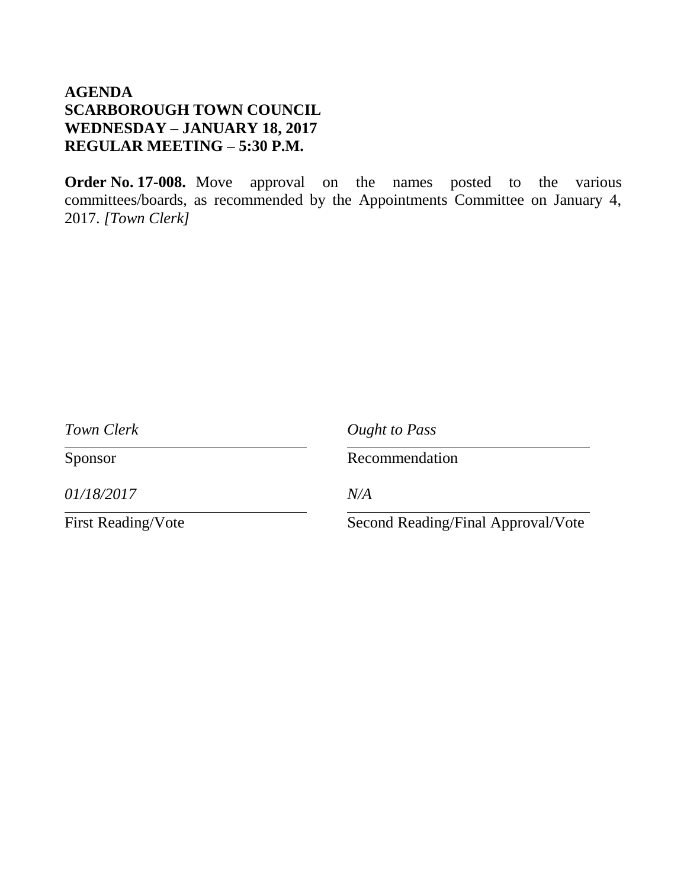**Order No. 17-008.** Move approval on the names posted to the various committees/boards, as recommended by the Appointments Committee on January 4, 2017. *[Town Clerk]*

| Town Clerk                | Ought to Pass                      |
|---------------------------|------------------------------------|
| Sponsor                   | Recommendation                     |
| 01/18/2017                | N/A                                |
| <b>First Reading/Vote</b> | Second Reading/Final Approval/Vote |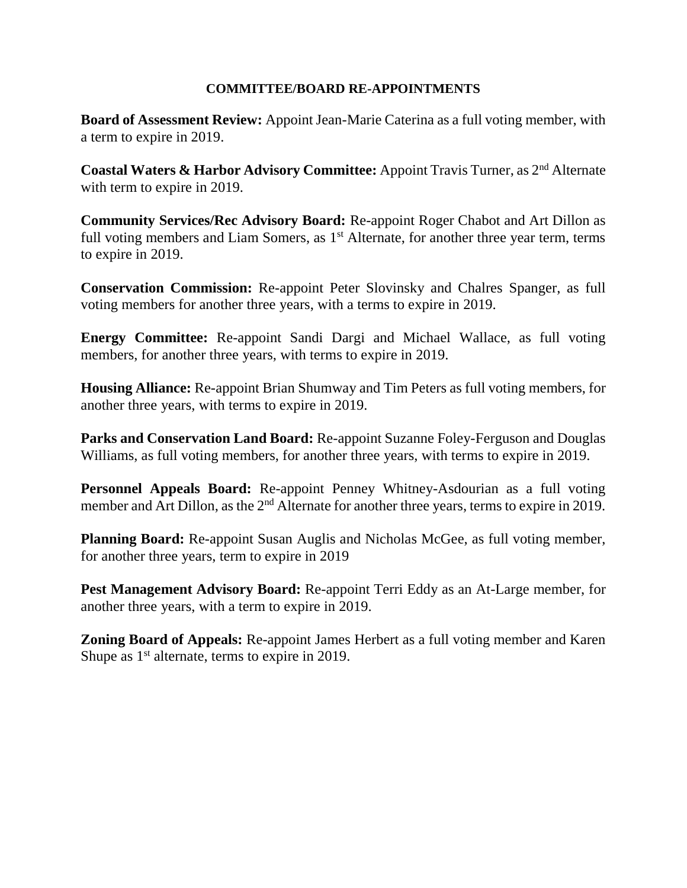### **COMMITTEE/BOARD RE-APPOINTMENTS**

**Board of Assessment Review:** Appoint Jean-Marie Caterina as a full voting member, with a term to expire in 2019.

**Coastal Waters & Harbor Advisory Committee:** Appoint Travis Turner, as 2nd Alternate with term to expire in 2019.

**Community Services/Rec Advisory Board:** Re-appoint Roger Chabot and Art Dillon as full voting members and Liam Somers, as  $1<sup>st</sup>$  Alternate, for another three year term, terms to expire in 2019.

**Conservation Commission:** Re-appoint Peter Slovinsky and Chalres Spanger, as full voting members for another three years, with a terms to expire in 2019.

**Energy Committee:** Re-appoint Sandi Dargi and Michael Wallace, as full voting members, for another three years, with terms to expire in 2019.

**Housing Alliance:** Re-appoint Brian Shumway and Tim Peters as full voting members, for another three years, with terms to expire in 2019.

**Parks and Conservation Land Board:** Re-appoint Suzanne Foley-Ferguson and Douglas Williams, as full voting members, for another three years, with terms to expire in 2019.

**Personnel Appeals Board:** Re-appoint Penney Whitney-Asdourian as a full voting member and Art Dillon, as the 2<sup>nd</sup> Alternate for another three years, terms to expire in 2019.

**Planning Board:** Re-appoint Susan Auglis and Nicholas McGee, as full voting member, for another three years, term to expire in 2019

**Pest Management Advisory Board:** Re-appoint Terri Eddy as an At-Large member, for another three years, with a term to expire in 2019.

**Zoning Board of Appeals:** Re-appoint James Herbert as a full voting member and Karen Shupe as  $1<sup>st</sup>$  alternate, terms to expire in 2019.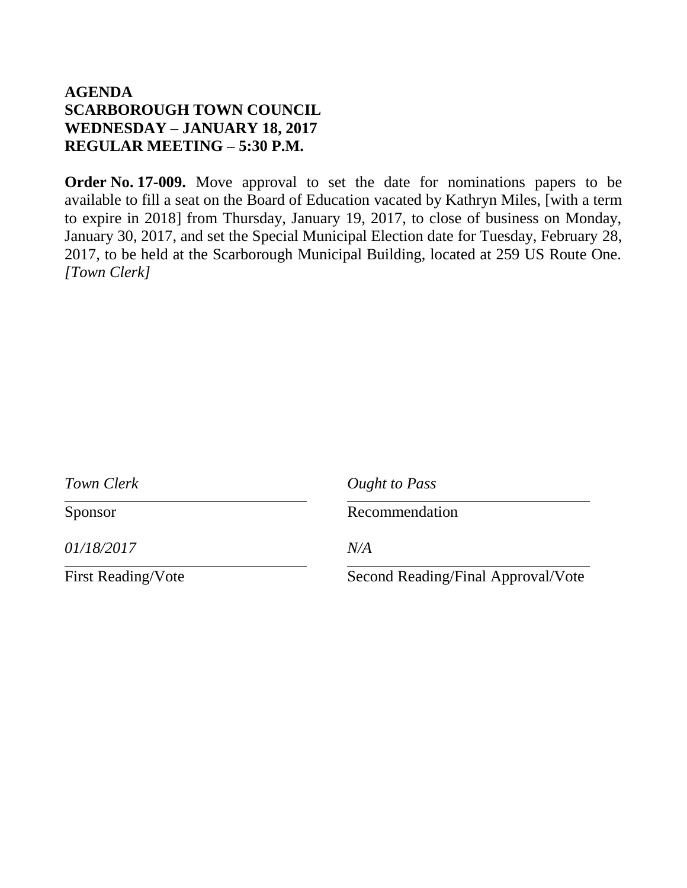**Order No. 17-009.** Move approval to set the date for nominations papers to be available to fill a seat on the Board of Education vacated by Kathryn Miles, [with a term to expire in 2018] from Thursday, January 19, 2017, to close of business on Monday, January 30, 2017, and set the Special Municipal Election date for Tuesday, February 28, 2017, to be held at the Scarborough Municipal Building, located at 259 US Route One. *[Town Clerk]*

| Town Clerk                | Ought to Pass                      |
|---------------------------|------------------------------------|
| Sponsor                   | Recommendation                     |
| 01/18/2017                | N/A                                |
| <b>First Reading/Vote</b> | Second Reading/Final Approval/Vote |